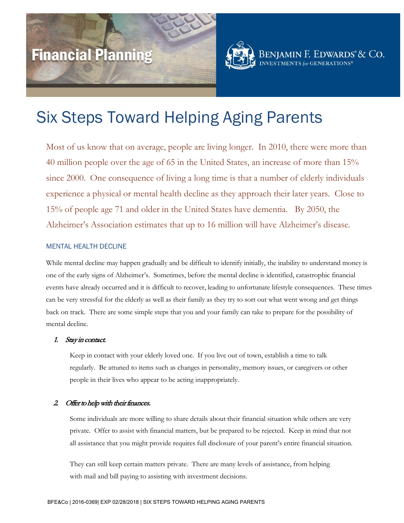# Financial Planning



# Six Steps Toward Helping Aging Parents

Most of us know that on average, people are living longer. In 2010, there were more than 40 million people over the age of 65 in the United States, an increase of more than 15% since 2000. One consequence of living a long time is that a number of elderly individuals experience a physical or mental health decline as they approach their later years. Close to 15% of people age 71 and older in the United States have dementia. By 2050, the Alzheimer's Association estimates that up to 16 million will have Alzheimer's disease.

#### MENTAL HEALTH DECLINE

While mental decline may happen gradually and be difficult to identify initially, the inability to understand money is one of the early signs of Alzheimer's. Sometimes, before the mental decline is identified, catastrophic financial events have already occurred and it is difficult to recover, leading to unfortunate lifestyle consequences. These times can be very stressful for the elderly as well as their family as they try to sort out what went wrong and get things back on track. There are some simple steps that you and your family can take to prepare for the possibility of mental decline.

# 1. Stay in contact.

Keep in contact with your elderly loved one. If you live out of town, establish a time to talk regularly. Be attuned to items such as changes in personality, memory issues, or caregivers or other people in their lives who appear to be acting inappropriately.

# 2. Offer to help with their finances.

Some individuals are more willing to share details about their financial situation while others are very private. Offer to assist with financial matters, but be prepared to be rejected. Keep in mind that not all assistance that you might provide requires full disclosure of your parent's entire financial situation.

They can still keep certain matters private. There are many levels of assistance, from helping with mail and bill paying to assisting with investment decisions.